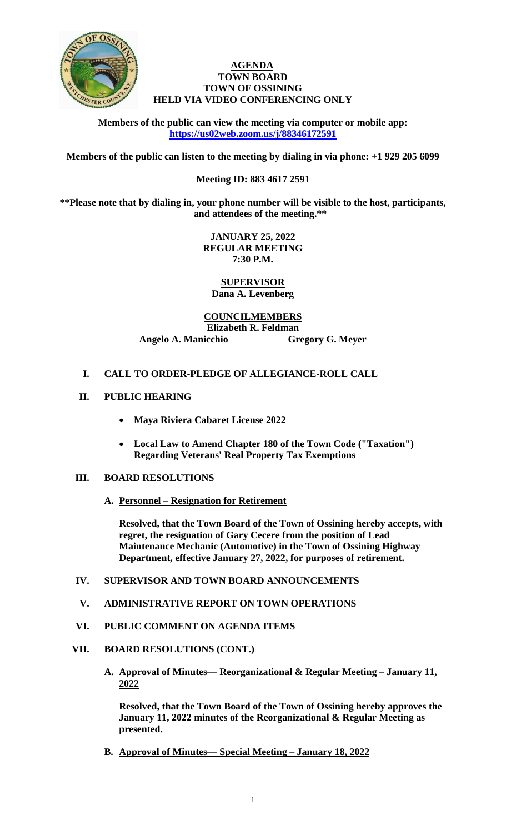

### **AGENDA TOWN BOARD TOWN OF OSSINING HELD VIA VIDEO CONFERENCING ONLY**

**Members of the public can view the meeting via computer or mobile app: <https://us02web.zoom.us/j/88346172591>**

**Members of the public can listen to the meeting by dialing in via phone: +1 929 205 6099** 

## **Meeting ID: 883 4617 2591**

**\*\*Please note that by dialing in, your phone number will be visible to the host, participants, and attendees of the meeting.\*\*** 

> **JANUARY 25, 2022 REGULAR MEETING 7:30 P.M.**

**SUPERVISOR Dana A. Levenberg**

**COUNCILMEMBERS Elizabeth R. Feldman Angelo A. Manicchio Gregory G. Meyer**

## **I. CALL TO ORDER-PLEDGE OF ALLEGIANCE-ROLL CALL**

- **II. PUBLIC HEARING**
	- **Maya Riviera Cabaret License 2022**
	- **Local Law to Amend Chapter 180 of the Town Code ("Taxation") Regarding Veterans' Real Property Tax Exemptions**

### **III. BOARD RESOLUTIONS**

**A. Personnel – Resignation for Retirement**

**Resolved, that the Town Board of the Town of Ossining hereby accepts, with regret, the resignation of Gary Cecere from the position of Lead Maintenance Mechanic (Automotive) in the Town of Ossining Highway Department, effective January 27, 2022, for purposes of retirement.**

## **IV. SUPERVISOR AND TOWN BOARD ANNOUNCEMENTS**

### **V. ADMINISTRATIVE REPORT ON TOWN OPERATIONS**

- **VI. PUBLIC COMMENT ON AGENDA ITEMS**
- **VII. BOARD RESOLUTIONS (CONT.)**
	- **A. Approval of Minutes— Reorganizational & Regular Meeting – January 11, 2022**

**Resolved, that the Town Board of the Town of Ossining hereby approves the January 11, 2022 minutes of the Reorganizational & Regular Meeting as presented.**

**B. Approval of Minutes— Special Meeting – January 18, 2022**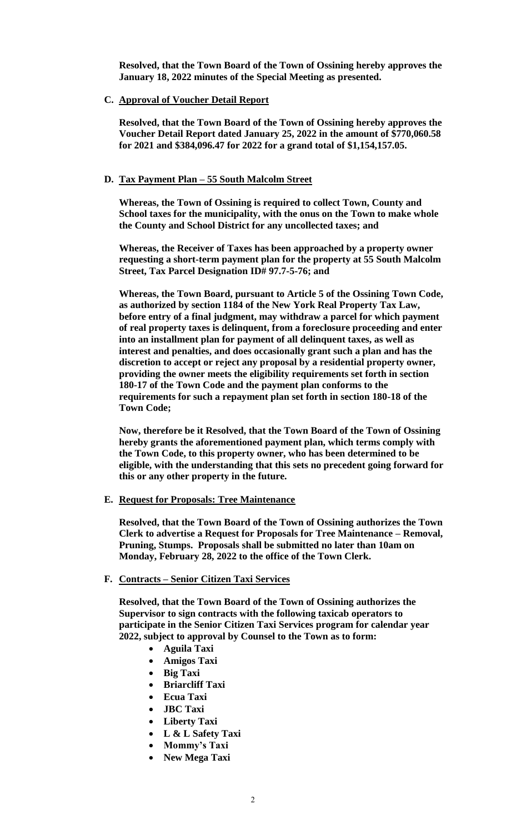**Resolved, that the Town Board of the Town of Ossining hereby approves the January 18, 2022 minutes of the Special Meeting as presented.**

**C. Approval of Voucher Detail Report**

**Resolved, that the Town Board of the Town of Ossining hereby approves the Voucher Detail Report dated January 25, 2022 in the amount of \$770,060.58 for 2021 and \$384,096.47 for 2022 for a grand total of \$1,154,157.05.**

### **D. Tax Payment Plan – 55 South Malcolm Street**

**Whereas, the Town of Ossining is required to collect Town, County and School taxes for the municipality, with the onus on the Town to make whole the County and School District for any uncollected taxes; and** 

**Whereas, the Receiver of Taxes has been approached by a property owner requesting a short-term payment plan for the property at 55 South Malcolm Street, Tax Parcel Designation ID# 97.7-5-76; and** 

**Whereas, the Town Board, pursuant to Article 5 of the Ossining Town Code, as authorized by section 1184 of the New York Real Property Tax Law, before entry of a final judgment, may withdraw a parcel for which payment of real property taxes is delinquent, from a foreclosure proceeding and enter into an installment plan for payment of all delinquent taxes, as well as interest and penalties, and does occasionally grant such a plan and has the discretion to accept or reject any proposal by a residential property owner, providing the owner meets the eligibility requirements set forth in section 180-17 of the Town Code and the payment plan conforms to the requirements for such a repayment plan set forth in section 180-18 of the Town Code;** 

**Now, therefore be it Resolved, that the Town Board of the Town of Ossining hereby grants the aforementioned payment plan, which terms comply with the Town Code, to this property owner, who has been determined to be eligible, with the understanding that this sets no precedent going forward for this or any other property in the future.**

**E. Request for Proposals: Tree Maintenance**

**Resolved, that the Town Board of the Town of Ossining authorizes the Town Clerk to advertise a Request for Proposals for Tree Maintenance – Removal, Pruning, Stumps. Proposals shall be submitted no later than 10am on Monday, February 28, 2022 to the office of the Town Clerk.** 

#### **F. Contracts – Senior Citizen Taxi Services**

**Resolved, that the Town Board of the Town of Ossining authorizes the Supervisor to sign contracts with the following taxicab operators to participate in the Senior Citizen Taxi Services program for calendar year 2022, subject to approval by Counsel to the Town as to form:**

- **Aguila Taxi**
- **Amigos Taxi**
- **Big Taxi**
- **Briarcliff Taxi**
- **Ecua Taxi**
- **JBC Taxi**
- **Liberty Taxi**
- **L & L Safety Taxi**
- **Mommy's Taxi**
- **New Mega Taxi**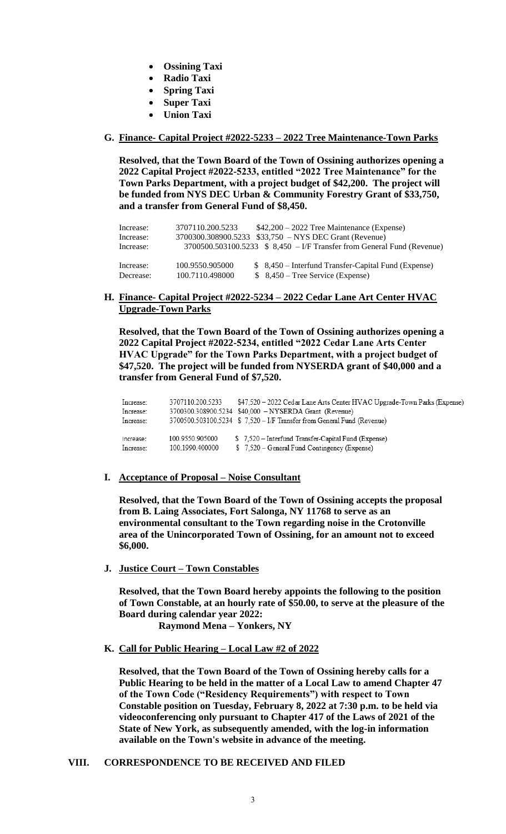- **Ossining Taxi**
- **Radio Taxi**
- **Spring Taxi**
- **Super Taxi**
- **Union Taxi**

### **G. Finance- Capital Project #2022-5233 – 2022 Tree Maintenance-Town Parks**

**Resolved, that the Town Board of the Town of Ossining authorizes opening a 2022 Capital Project #2022-5233, entitled "2022 Tree Maintenance" for the Town Parks Department, with a project budget of \$42,200. The project will be funded from NYS DEC Urban & Community Forestry Grant of \$33,750, and a transfer from General Fund of \$8,450.**

| Increase:<br>Increase:<br>Increase: | 3707110.200.5233 | $$42,200 - 2022$ Tree Maintenance (Expense)<br>3700300.308900.5233 \$33,750 - NYS DEC Grant (Revenue)<br>$3700500.503100.5233$ \$ $8,450$ – I/F Transfer from General Fund (Revenue) |
|-------------------------------------|------------------|--------------------------------------------------------------------------------------------------------------------------------------------------------------------------------------|
| Increase:                           | 100.9550.905000  | \$ 8,450 – Interfund Transfer-Capital Fund (Expense)                                                                                                                                 |
| Decrease:                           | 100.7110.498000  | $$8,450$ – Tree Service (Expense)                                                                                                                                                    |

### **H. Finance- Capital Project #2022-5234 – 2022 Cedar Lane Art Center HVAC Upgrade-Town Parks**

**Resolved, that the Town Board of the Town of Ossining authorizes opening a 2022 Capital Project #2022-5234, entitled "2022 Cedar Lane Arts Center HVAC Upgrade" for the Town Parks Department, with a project budget of \$47,520. The project will be funded from NYSERDA grant of \$40,000 and a transfer from General Fund of \$7,520.**

| Increase: | 3707110.200.5233 | \$47.520 – 2022 Cedar Lane Arts Center HVAC Upgrade-Town Parks (Expense) |
|-----------|------------------|--------------------------------------------------------------------------|
| Increase: |                  | 3700300.308900.5234 \$40.000 - NYSERDA Grant (Revenue)                   |
| Increase: |                  | 3700500.503100.5234 \$ 7,520 - I/F Transfer from General Fund (Revenue)  |
| Increase: | 100.9550.905000  | \$7,520 - Interfund Transfer-Capital Fund (Expense)                      |
| Increase: | 100.1990.400000  | \$7,520 – General Fund Contingency (Expense)                             |

### **I. Acceptance of Proposal – Noise Consultant**

**Resolved, that the Town Board of the Town of Ossining accepts the proposal from B. Laing Associates, Fort Salonga, NY 11768 to serve as an environmental consultant to the Town regarding noise in the Crotonville area of the Unincorporated Town of Ossining, for an amount not to exceed \$6,000.**

**J. Justice Court – Town Constables**

**Resolved, that the Town Board hereby appoints the following to the position of Town Constable, at an hourly rate of \$50.00, to serve at the pleasure of the Board during calendar year 2022:**

 **Raymond Mena – Yonkers, NY**

**K. Call for Public Hearing – Local Law #2 of 2022**

**Resolved, that the Town Board of the Town of Ossining hereby calls for a Public Hearing to be held in the matter of a Local Law to amend Chapter 47 of the Town Code ("Residency Requirements") with respect to Town Constable position on Tuesday, February 8, 2022 at 7:30 p.m. to be held via videoconferencing only pursuant to Chapter 417 of the Laws of 2021 of the State of New York, as subsequently amended, with the log-in information available on the Town's website in advance of the meeting.**

### **VIII. CORRESPONDENCE TO BE RECEIVED AND FILED**